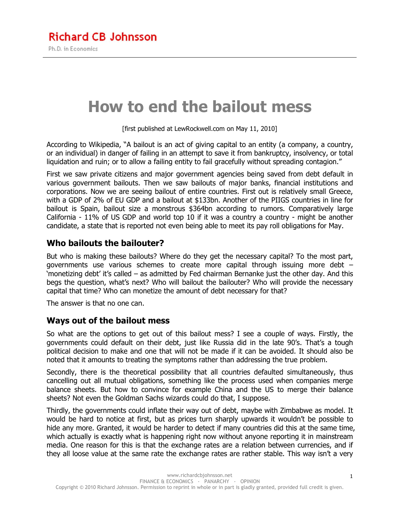# **How to end the bailout mess**

[first published at LewRockwell.com on May 11, 2010]

According to Wikipedia, "A bailout is an act of giving capital to an entity (a company, a country, or an individual) in danger of failing in an attempt to save it from bankruptcy, insolvency, or total liquidation and ruin; or to allow a failing entity to fail gracefully without spreading contagion."

First we saw private citizens and major government agencies being saved from debt default in various government bailouts. Then we saw bailouts of major banks, financial institutions and corporations. Now we are seeing bailout of entire countries. First out is relatively small Greece, with a GDP of 2% of EU GDP and a bailout at \$133bn. Another of the PIIGS countries in line for bailout is Spain, bailout size a monstrous \$364bn according to rumors. Comparatively large California - 11% of US GDP and world top 10 if it was a country a country - might be another candidate, a state that is reported not even being able to meet its pay roll obligations for May.

## **Who bailouts the bailouter?**

But who is making these bailouts? Where do they get the necessary capital? To the most part, governments use various schemes to create more capital through issuing more debt – 'monetizing debt' it's called – as admitted by Fed chairman Bernanke just the other day. And this begs the question, what's next? Who will bailout the bailouter? Who will provide the necessary capital that time? Who can monetize the amount of debt necessary for that?

The answer is that no one can.

## **Ways out of the bailout mess**

So what are the options to get out of this bailout mess? I see a couple of ways. Firstly, the governments could default on their debt, just like Russia did in the late 90's. That's a tough political decision to make and one that will not be made if it can be avoided. It should also be noted that it amounts to treating the symptoms rather than addressing the true problem.

Secondly, there is the theoretical possibility that all countries defaulted simultaneously, thus cancelling out all mutual obligations, something like the process used when companies merge balance sheets. But how to convince for example China and the US to merge their balance sheets? Not even the Goldman Sachs wizards could do that, I suppose.

Thirdly, the governments could inflate their way out of debt, maybe with Zimbabwe as model. It would be hard to notice at first, but as prices turn sharply upwards it wouldn't be possible to hide any more. Granted, it would be harder to detect if many countries did this at the same time, which actually is exactly what is happening right now without anyone reporting it in mainstream media. One reason for this is that the exchange rates are a relation between currencies, and if they all loose value at the same rate the exchange rates are rather stable. This way isn't a very

1